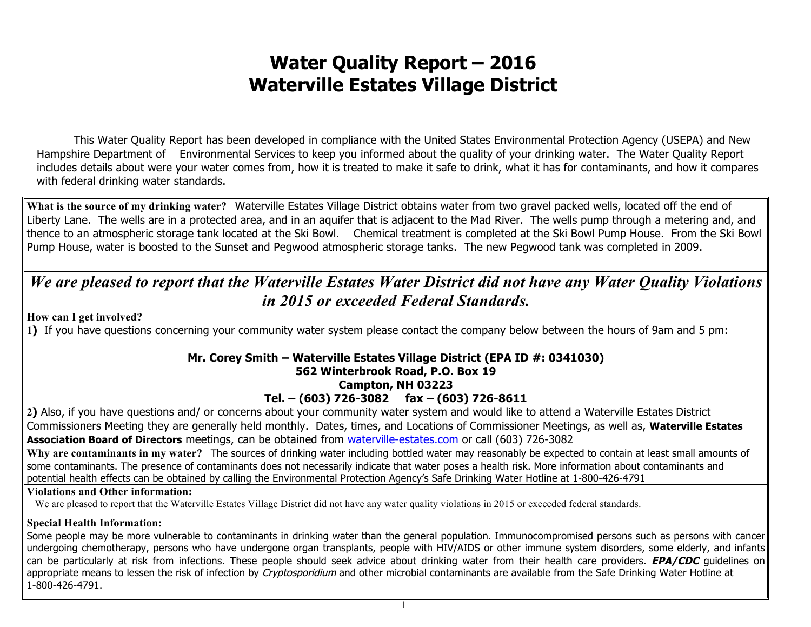## **Water Quality Report – 2016 Waterville Estates Village District**

This Water Quality Report has been developed in compliance with the United States Environmental Protection Agency (USEPA) and New Hampshire Department of Environmental Services to keep you informed about the quality of your drinking water. The Water Quality Report includes details about were your water comes from, how it is treated to make it safe to drink, what it has for contaminants, and how it compares with federal drinking water standards.

**What is the source of my drinking water?** Waterville Estates Village District obtains water from two gravel packed wells, located off the end of Liberty Lane. The wells are in a protected area, and in an aquifer that is adjacent to the Mad River. The wells pump through a metering and, and thence to an atmospheric storage tank located at the Ski Bowl. Chemical treatment is completed at the Ski Bowl Pump House. From the Ski Bowl Pump House, water is boosted to the Sunset and Pegwood atmospheric storage tanks. The new Pegwood tank was completed in 2009.

## *We are pleased to report that the Waterville Estates Water District did not have any Water Quality Violations in 2015 or exceeded Federal Standards.*

**How can I get involved?**

**1)** If you have questions concerning your community water system please contact the company below between the hours of 9am and 5 pm:

## **Mr. Corey Smith – Waterville Estates Village District (EPA ID #: 0341030)**

## **562 Winterbrook Road, P.O. Box 19**

#### **Campton, NH 03223**

**Tel. – (603) 726-3082 fax – (603) 726-8611**

**2)** Also, if you have questions and/ or concerns about your community water system and would like to attend a Waterville Estates District Commissioners Meeting they are generally held monthly. Dates, times, and Locations of Commissioner Meetings, as well as, **Waterville Estates Association Board of Directors** meetings, can be obtained from waterville-estates.com or call (603) 726-3082

**Why are contaminants in my water?** The sources of drinking water including bottled water may reasonably be expected to contain at least small amounts of some contaminants. The presence of contaminants does not necessarily indicate that water poses a health risk. More information about contaminants and potential health effects can be obtained by calling the Environmental Protection Agency's Safe Drinking Water Hotline at 1-800-426-4791

#### **Violations and Other information:**

We are pleased to report that the Waterville Estates Village District did not have any water quality violations in 2015 or exceeded federal standards.

#### **Special Health Information:**

Some people may be more vulnerable to contaminants in drinking water than the general population. Immunocompromised persons such as persons with cancer undergoing chemotherapy, persons who have undergone organ transplants, people with HIV/AIDS or other immune system disorders, some elderly, and infants can be particularly at risk from infections. These people should seek advice about drinking water from their health care providers. **EPA/CDC** guidelines on appropriate means to lessen the risk of infection by Cryptosporidium and other microbial contaminants are available from the Safe Drinking Water Hotline at 1-800-426-4791.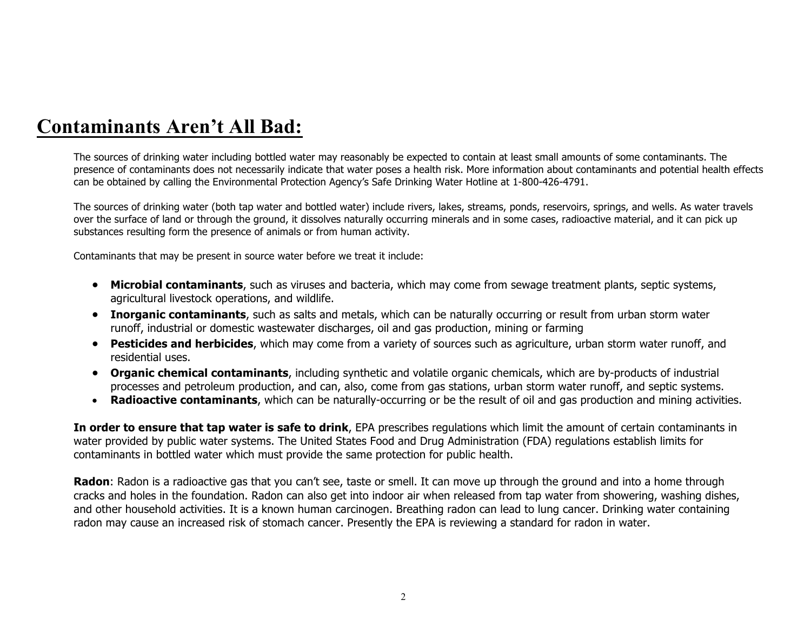# **Contaminants Aren't All Bad:**

The sources of drinking water including bottled water may reasonably be expected to contain at least small amounts of some contaminants. The presence of contaminants does not necessarily indicate that water poses a health risk. More information about contaminants and potential health effects can be obtained by calling the Environmental Protection Agency's Safe Drinking Water Hotline at 1-800-426-4791.

The sources of drinking water (both tap water and bottled water) include rivers, lakes, streams, ponds, reservoirs, springs, and wells. As water travels over the surface of land or through the ground, it dissolves naturally occurring minerals and in some cases, radioactive material, and it can pick up substances resulting form the presence of animals or from human activity.

Contaminants that may be present in source water before we treat it include:

- **Microbial contaminants**, such as viruses and bacteria, which may come from sewage treatment plants, septic systems, agricultural livestock operations, and wildlife.
- **Inorganic contaminants**, such as salts and metals, which can be naturally occurring or result from urban storm water runoff, industrial or domestic wastewater discharges, oil and gas production, mining or farming
- **Pesticides and herbicides**, which may come from a variety of sources such as agriculture, urban storm water runoff, and residential uses.
- **Organic chemical contaminants**, including synthetic and volatile organic chemicals, which are by-products of industrial processes and petroleum production, and can, also, come from gas stations, urban storm water runoff, and septic systems.
- **Radioactive contaminants**, which can be naturally-occurring or be the result of oil and gas production and mining activities.

**In order to ensure that tap water is safe to drink**, EPA prescribes regulations which limit the amount of certain contaminants in water provided by public water systems. The United States Food and Drug Administration (FDA) regulations establish limits for contaminants in bottled water which must provide the same protection for public health.

**Radon**: Radon is a radioactive gas that you can't see, taste or smell. It can move up through the ground and into a home through cracks and holes in the foundation. Radon can also get into indoor air when released from tap water from showering, washing dishes, and other household activities. It is a known human carcinogen. Breathing radon can lead to lung cancer. Drinking water containing radon may cause an increased risk of stomach cancer. Presently the EPA is reviewing a standard for radon in water.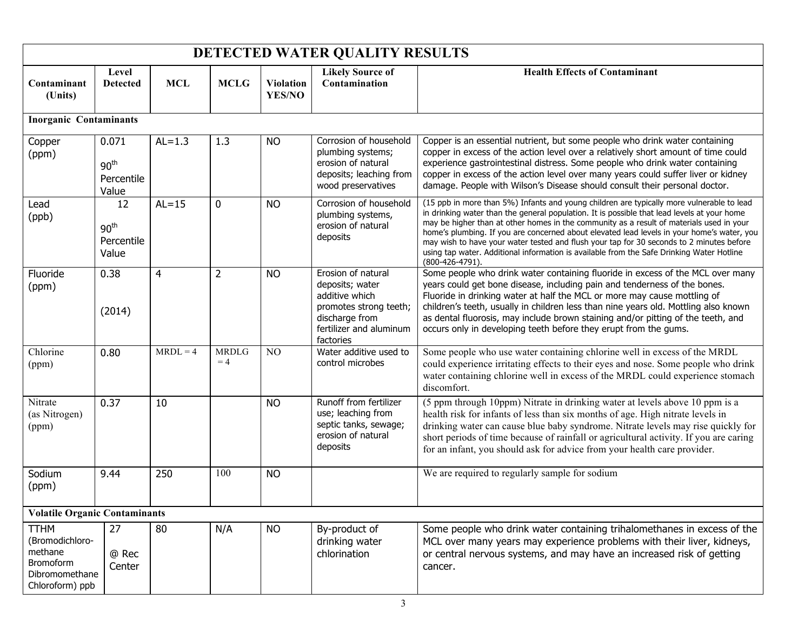| DETECTED WATER QUALITY RESULTS                                                                     |                                                  |                |                      |                            |                                                                                                                                             |                                                                                                                                                                                                                                                                                                                                                                                                                                                                                                                                                                                                |  |  |  |  |
|----------------------------------------------------------------------------------------------------|--------------------------------------------------|----------------|----------------------|----------------------------|---------------------------------------------------------------------------------------------------------------------------------------------|------------------------------------------------------------------------------------------------------------------------------------------------------------------------------------------------------------------------------------------------------------------------------------------------------------------------------------------------------------------------------------------------------------------------------------------------------------------------------------------------------------------------------------------------------------------------------------------------|--|--|--|--|
| Contaminant<br>(Units)                                                                             | Level<br><b>Detected</b>                         | <b>MCL</b>     | <b>MCLG</b>          | <b>Violation</b><br>YES/NO | <b>Likely Source of</b><br>Contamination                                                                                                    | <b>Health Effects of Contaminant</b>                                                                                                                                                                                                                                                                                                                                                                                                                                                                                                                                                           |  |  |  |  |
| <b>Inorganic Contaminants</b>                                                                      |                                                  |                |                      |                            |                                                                                                                                             |                                                                                                                                                                                                                                                                                                                                                                                                                                                                                                                                                                                                |  |  |  |  |
| Copper<br>(ppm)                                                                                    | 0.071<br>90 <sup>th</sup><br>Percentile<br>Value | $AL=1.3$       | 1.3                  | <b>NO</b>                  | Corrosion of household<br>plumbing systems;<br>erosion of natural<br>deposits; leaching from<br>wood preservatives                          | Copper is an essential nutrient, but some people who drink water containing<br>copper in excess of the action level over a relatively short amount of time could<br>experience gastrointestinal distress. Some people who drink water containing<br>copper in excess of the action level over many years could suffer liver or kidney<br>damage. People with Wilson's Disease should consult their personal doctor.                                                                                                                                                                            |  |  |  |  |
| Lead<br>(ppb)                                                                                      | 12<br>90 <sup>th</sup><br>Percentile<br>Value    | $AL = 15$      | $\mathbf 0$          | <b>NO</b>                  | Corrosion of household<br>plumbing systems,<br>erosion of natural<br>deposits                                                               | (15 ppb in more than 5%) Infants and young children are typically more vulnerable to lead<br>in drinking water than the general population. It is possible that lead levels at your home<br>may be higher than at other homes in the community as a result of materials used in your<br>home's plumbing. If you are concerned about elevated lead levels in your home's water, you<br>may wish to have your water tested and flush your tap for 30 seconds to 2 minutes before<br>using tap water. Additional information is available from the Safe Drinking Water Hotline<br>(800-426-4791). |  |  |  |  |
| Fluoride<br>(ppm)                                                                                  | 0.38<br>(2014)                                   | $\overline{4}$ | $\overline{2}$       | <b>NO</b>                  | Erosion of natural<br>deposits; water<br>additive which<br>promotes strong teeth;<br>discharge from<br>fertilizer and aluminum<br>factories | Some people who drink water containing fluoride in excess of the MCL over many<br>years could get bone disease, including pain and tenderness of the bones.<br>Fluoride in drinking water at half the MCL or more may cause mottling of<br>children's teeth, usually in children less than nine years old. Mottling also known<br>as dental fluorosis, may include brown staining and/or pitting of the teeth, and<br>occurs only in developing teeth before they erupt from the gums.                                                                                                         |  |  |  |  |
| Chlorine<br>(ppm)                                                                                  | 0.80                                             | $MRDL = 4$     | <b>MRDLG</b><br>$=4$ | N <sub>O</sub>             | Water additive used to<br>control microbes                                                                                                  | Some people who use water containing chlorine well in excess of the MRDL<br>could experience irritating effects to their eyes and nose. Some people who drink<br>water containing chlorine well in excess of the MRDL could experience stomach<br>discomfort.                                                                                                                                                                                                                                                                                                                                  |  |  |  |  |
| Nitrate<br>(as Nitrogen)<br>(ppm)                                                                  | 0.37                                             | 10             |                      | <b>NO</b>                  | Runoff from fertilizer<br>use; leaching from<br>septic tanks, sewage;<br>erosion of natural<br>deposits                                     | (5 ppm through 10ppm) Nitrate in drinking water at levels above 10 ppm is a<br>health risk for infants of less than six months of age. High nitrate levels in<br>drinking water can cause blue baby syndrome. Nitrate levels may rise quickly for<br>short periods of time because of rainfall or agricultural activity. If you are caring<br>for an infant, you should ask for advice from your health care provider.                                                                                                                                                                         |  |  |  |  |
| Sodium<br>(ppm)                                                                                    | 9.44                                             | 250            | 100                  | <b>NO</b>                  |                                                                                                                                             | We are required to regularly sample for sodium                                                                                                                                                                                                                                                                                                                                                                                                                                                                                                                                                 |  |  |  |  |
| <b>Volatile Organic Contaminants</b>                                                               |                                                  |                |                      |                            |                                                                                                                                             |                                                                                                                                                                                                                                                                                                                                                                                                                                                                                                                                                                                                |  |  |  |  |
| <b>TTHM</b><br>(Bromodichloro-<br>methane<br><b>Bromoform</b><br>Dibromomethane<br>Chloroform) ppb | 27<br>@ Rec<br>Center                            | 80             | N/A                  | <b>NO</b>                  | By-product of<br>drinking water<br>chlorination                                                                                             | Some people who drink water containing trihalomethanes in excess of the<br>MCL over many years may experience problems with their liver, kidneys,<br>or central nervous systems, and may have an increased risk of getting<br>cancer.                                                                                                                                                                                                                                                                                                                                                          |  |  |  |  |